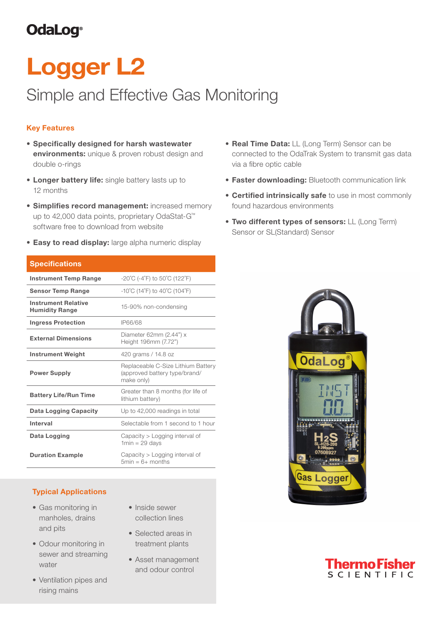# **OdaLog**®

# Logger L2

# Simple and Effective Gas Monitoring

## Key Features

- Specifically designed for harsh wastewater environments: unique & proven robust design and double o-rings
- Longer battery life: single battery lasts up to 12 months
- Simplifies record management: increased memory up to 42,000 data points, proprietary OdaStat-G™ software free to download from website
- Easy to read display: large alpha numeric display

| <b>Specifications</b>                               |                                                                                   |  |  |
|-----------------------------------------------------|-----------------------------------------------------------------------------------|--|--|
| <b>Instrument Temp Range</b>                        | $-20^{\circ}$ C (-4 $^{\circ}$ F) to 50 $^{\circ}$ C (122 $^{\circ}$ F)           |  |  |
| <b>Sensor Temp Range</b>                            | $-10^{\circ}$ C (14 $^{\circ}$ F) to 40 $^{\circ}$ C (104 $^{\circ}$ F)           |  |  |
| <b>Instrument Relative</b><br><b>Humidity Range</b> | 15-90% non-condensing                                                             |  |  |
| <b>Ingress Protection</b>                           | IP66/68                                                                           |  |  |
| <b>External Dimensions</b>                          | Diameter 62mm (2.44") x<br>Height 196mm (7.72")                                   |  |  |
| <b>Instrument Weight</b>                            | 420 grams / 14.8 oz                                                               |  |  |
| <b>Power Supply</b>                                 | Replaceable C-Size Lithium Battery<br>(approved battery type/brand/<br>make only) |  |  |
| <b>Battery Life/Run Time</b>                        | Greater than 8 months (for life of<br>lithium battery)                            |  |  |
| Data Logging Capacity                               | Up to 42,000 readings in total                                                    |  |  |
| Interval                                            | Selectable from 1 second to 1 hour                                                |  |  |
| Data Logging                                        | Capacity > Logging interval of<br>$1min = 29$ days                                |  |  |
| <b>Duration Example</b>                             | Capacity > Logging interval of<br>$5min = 6+ months$                              |  |  |

### Typical Applications

- Gas monitoring in manholes, drains and pits
- Odour monitoring in sewer and streaming water
- Ventilation pipes and rising mains
- Inside sewer collection lines
- Selected areas in treatment plants
- Asset management and odour control
- **Real Time Data: LL (Long Term) Sensor can be** connected to the OdaTrak System to transmit gas data via a fibre optic cable
- **Faster downloading: Bluetooth communication link**
- Certified intrinsically safe to use in most commonly found hazardous environments
- Two different types of sensors: LL (Long Term) Sensor or SL(Standard) Sensor